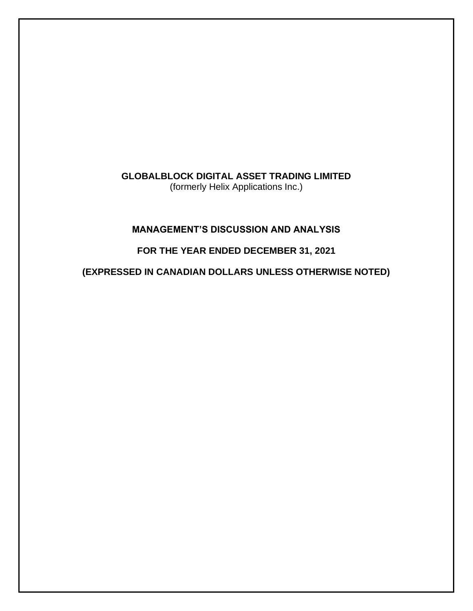**GLOBALBLOCK DIGITAL ASSET TRADING LIMITED**  (formerly Helix Applications Inc.)

# **MANAGEMENT'S DISCUSSION AND ANALYSIS**

# **FOR THE YEAR ENDED DECEMBER 31, 2021**

**(EXPRESSED IN CANADIAN DOLLARS UNLESS OTHERWISE NOTED)**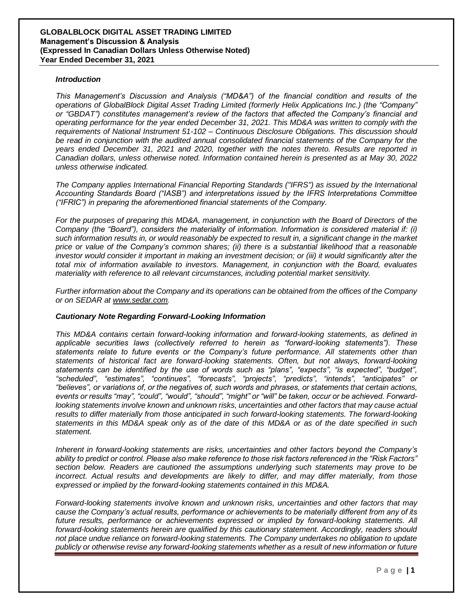### *Introduction*

*This Management's Discussion and Analysis ("MD&A") of the financial condition and results of the operations of GlobalBlock Digital Asset Trading Limited (formerly Helix Applications Inc.) (the "Company" or "GBDAT") constitutes management's review of the factors that affected the Company's financial and operating performance for the year ended December 31, 2021. This MD&A was written to comply with the requirements of National Instrument 51-102 – Continuous Disclosure Obligations. This discussion should be read in conjunction with the audited annual consolidated financial statements of the Company for the years ended December 31, 2021 and 2020, together with the notes thereto. Results are reported in Canadian dollars, unless otherwise noted. Information contained herein is presented as at May 30, 2022 unless otherwise indicated.*

*The Company applies International Financial Reporting Standards ("IFRS") as issued by the International Accounting Standards Board ("IASB") and interpretations issued by the IFRS Interpretations Committee ("IFRIC") in preparing the aforementioned financial statements of the Company.*

*For the purposes of preparing this MD&A, management, in conjunction with the Board of Directors of the Company (the "Board"), considers the materiality of information. Information is considered material if: (i) such information results in, or would reasonably be expected to result in, a significant change in the market price or value of the Company's common shares; (ii) there is a substantial likelihood that a reasonable investor would consider it important in making an investment decision; or (iii) it would significantly alter the total mix of information available to investors. Management, in conjunction with the Board, evaluates materiality with reference to all relevant circumstances, including potential market sensitivity.*

*Further information about the Company and its operations can be obtained from the offices of the Company or on SEDAR at [www.sedar.com](http://www.sedar.com/).*

#### *Cautionary Note Regarding Forward-Looking Information*

*This MD&A contains certain forward-looking information and forward-looking statements, as defined in applicable securities laws (collectively referred to herein as "forward-looking statements"). These statements relate to future events or the Company's future performance. All statements other than statements of historical fact are forward-looking statements. Often, but not always, forward-looking statements can be identified by the use of words such as "plans", "expects", "is expected", "budget", "scheduled", "estimates", "continues", "forecasts", "projects", "predicts", "intends", "anticipates" or "believes", or variations of, or the negatives of, such words and phrases, or statements that certain actions, events or results "may", "could", "would", "should", "might" or "will" be taken, occur or be achieved. Forwardlooking statements involve known and unknown risks, uncertainties and other factors that may cause actual*  results to differ materially from those anticipated in such forward-looking statements. The forward-looking *statements in this MD&A speak only as of the date of this MD&A or as of the date specified in such statement.*

*Inherent in forward-looking statements are risks, uncertainties and other factors beyond the Company's ability to predict or control. Please also make reference to those risk factors referenced in the "Risk Factors" section below. Readers are cautioned the assumptions underlying such statements may prove to be incorrect. Actual results and developments are likely to differ, and may differ materially, from those expressed or implied by the forward-looking statements contained in this MD&A.* 

*Forward-looking statements involve known and unknown risks, uncertainties and other factors that may cause the Company's actual results, performance or achievements to be materially different from any of its*  future results, performance or achievements expressed or implied by forward-looking statements. All *forward-looking statements herein are qualified by this cautionary statement. Accordingly, readers should not place undue reliance on forward-looking statements. The Company undertakes no obligation to update publicly or otherwise revise any forward-looking statements whether as a result of new information or future*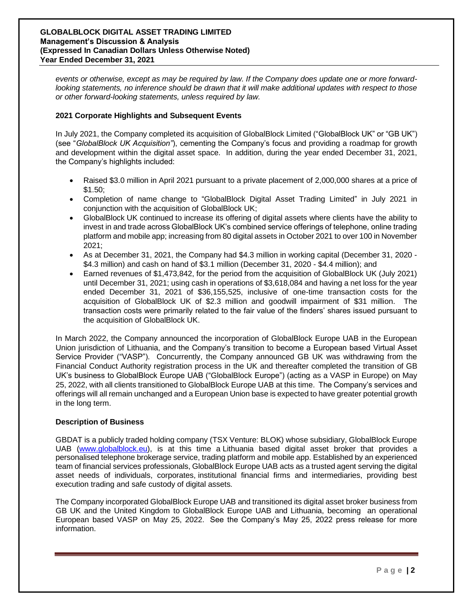*events or otherwise, except as may be required by law. If the Company does update one or more forwardlooking statements, no inference should be drawn that it will make additional updates with respect to those or other forward-looking statements, unless required by law.*

### **2021 Corporate Highlights and Subsequent Events**

In July 2021, the Company completed its acquisition of GlobalBlock Limited ("GlobalBlock UK" or "GB UK") (see "*GlobalBlock UK Acquisition"*), cementing the Company's focus and providing a roadmap for growth and development within the digital asset space. In addition, during the year ended December 31, 2021, the Company's highlights included:

- Raised \$3.0 million in April 2021 pursuant to a private placement of 2,000,000 shares at a price of \$1.50;
- Completion of name change to "GlobalBlock Digital Asset Trading Limited" in July 2021 in conjunction with the acquisition of GlobalBlock UK;
- GlobalBlock UK continued to increase its offering of digital assets where clients have the ability to invest in and trade across GlobalBlock UK's combined service offerings of telephone, online trading platform and mobile app; increasing from 80 digital assets in October 2021 to over 100 in November 2021;
- As at December 31, 2021, the Company had \$4.3 million in working capital (December 31, 2020 \$4.3 million) and cash on hand of \$3.1 million (December 31, 2020 - \$4.4 million); and
- Earned revenues of \$1,473,842, for the period from the acquisition of GlobalBlock UK (July 2021) until December 31, 2021; using cash in operations of \$3,618,084 and having a net loss for the year ended December 31, 2021 of \$36,155,525, inclusive of one-time transaction costs for the acquisition of GlobalBlock UK of \$2.3 million and goodwill impairment of \$31 million. The transaction costs were primarily related to the fair value of the finders' shares issued pursuant to the acquisition of GlobalBlock UK.

In March 2022, the Company announced the incorporation of GlobalBlock Europe UAB in the European Union jurisdiction of Lithuania, and the Company's transition to become a European based Virtual Asset Service Provider ("VASP"). Concurrently, the Company announced GB UK was withdrawing from the Financial Conduct Authority registration process in the UK and thereafter completed the transition of GB UK's business to GlobalBlock Europe UAB ("GlobalBlock Europe") (acting as a VASP in Europe) on May 25, 2022, with all clients transitioned to GlobalBlock Europe UAB at this time. The Company's services and offerings will all remain unchanged and a European Union base is expected to have greater potential growth in the long term.

### **Description of Business**

GBDAT is a publicly traded holding company (TSX Venture: BLOK) whose subsidiary, GlobalBlock Europe UAB [\(www.globalblock.eu\)](http://www.globalblock.eu/), is at this time a Lithuania based digital asset broker that provides a personalised telephone brokerage service, trading platform and mobile app. Established by an experienced team of financial services professionals, GlobalBlock Europe UAB acts as a trusted agent serving the digital asset needs of individuals, corporates, institutional financial firms and intermediaries, providing best execution trading and safe custody of digital assets.

The Company incorporated GlobalBlock Europe UAB and transitioned its digital asset broker business from GB UK and the United Kingdom to GlobalBlock Europe UAB and Lithuania, becoming an operational European based VASP on May 25, 2022. See the Company's May 25, 2022 press release for more information.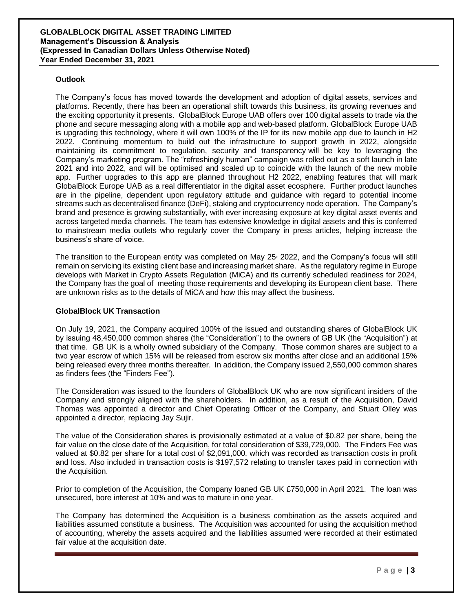### **Outlook**

The Company's focus has moved towards the development and adoption of digital assets, services and platforms. Recently, there has been an operational shift towards this business, its growing revenues and the exciting opportunity it presents. GlobalBlock Europe UAB offers over 100 digital assets to trade via the phone and secure messaging along with a mobile app and web-based platform. GlobalBlock Europe UAB is upgrading this technology, where it will own 100% of the IP for its new mobile app due to launch in H2 2022. Continuing momentum to build out the infrastructure to support growth in 2022, alongside maintaining its commitment to regulation, security and transparency will be key to leveraging the Company's marketing program. The "refreshingly human" campaign was rolled out as a soft launch in late 2021 and into 2022, and will be optimised and scaled up to coincide with the launch of the new mobile app. Further upgrades to this app are planned throughout H2 2022, enabling features that will mark GlobalBlock Europe UAB as a real differentiator in the digital asset ecosphere. Further product launches are in the pipeline, dependent upon regulatory attitude and guidance with regard to potential income streams such as decentralised finance (DeFi), staking and cryptocurrency node operation. The Company's brand and presence is growing substantially, with ever increasing exposure at key digital asset events and across targeted media channels. The team has extensive knowledge in digital assets and this is conferred to mainstream media outlets who regularly cover the Company in press articles, helping increase the business's share of voice.

The transition to the European entity was completed on May 25 2022, and the Company's focus will still remain on servicing its existing client base and increasing market share. As the regulatory regime in Europe develops with Market in Crypto Assets Regulation (MiCA) and its currently scheduled readiness for 2024, the Company has the goal of meeting those requirements and developing its European client base. There are unknown risks as to the details of MiCA and how this may affect the business.

### **GlobalBlock UK Transaction**

On July 19, 2021, the Company acquired 100% of the issued and outstanding shares of GlobalBlock UK by issuing 48,450,000 common shares (the "Consideration") to the owners of GB UK (the "Acquisition") at that time. GB UK is a wholly owned subsidiary of the Company. Those common shares are subject to a two year escrow of which 15% will be released from escrow six months after close and an additional 15% being released every three months thereafter. In addition, the Company issued 2,550,000 common shares as finders fees (the "Finders Fee").

The Consideration was issued to the founders of GlobalBlock UK who are now significant insiders of the Company and strongly aligned with the shareholders. In addition, as a result of the Acquisition, David Thomas was appointed a director and Chief Operating Officer of the Company, and Stuart Olley was appointed a director, replacing Jay Sujir.

The value of the Consideration shares is provisionally estimated at a value of \$0.82 per share, being the fair value on the close date of the Acquisition, for total consideration of \$39,729,000. The Finders Fee was valued at \$0.82 per share for a total cost of \$2,091,000, which was recorded as transaction costs in profit and loss. Also included in transaction costs is \$197,572 relating to transfer taxes paid in connection with the Acquisition.

Prior to completion of the Acquisition, the Company loaned GB UK £750,000 in April 2021. The loan was unsecured, bore interest at 10% and was to mature in one year.

The Company has determined the Acquisition is a business combination as the assets acquired and liabilities assumed constitute a business. The Acquisition was accounted for using the acquisition method of accounting, whereby the assets acquired and the liabilities assumed were recorded at their estimated fair value at the acquisition date.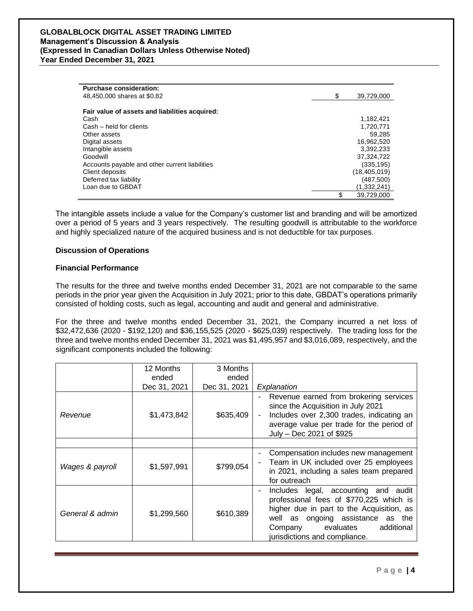| <b>Purchase consideration:</b>                 |                  |
|------------------------------------------------|------------------|
| 48,450,000 shares at \$0.82                    | \$<br>39,729,000 |
|                                                |                  |
| Fair value of assets and liabilities acquired: |                  |
| Cash                                           | 1,182,421        |
| Cash - held for clients                        | 1,720,771        |
| Other assets                                   | 59.285           |
| Digital assets                                 | 16,962,520       |
| Intangible assets                              | 3.392.233        |
| Goodwill                                       | 37.324.722       |
| Accounts payable and other current liabilities | (335, 195)       |
| Client deposits                                | (18, 405, 019)   |
| Deferred tax liability                         | (487,500)        |
| Loan due to GBDAT                              | (1,332,241)      |
|                                                | \$<br>39.729.000 |

The intangible assets include a value for the Company's customer list and branding and will be amortized over a period of 5 years and 3 years respectively. The resulting goodwill is attributable to the workforce and highly specialized nature of the acquired business and is not deductible for tax purposes.

### **Discussion of Operations**

### **Financial Performance**

The results for the three and twelve months ended December 31, 2021 are not comparable to the same periods in the prior year given the Acquisition in July 2021; prior to this date, GBDAT's operations primarily consisted of holding costs, such as legal, accounting and audit and general and administrative.

For the three and twelve months ended December 31, 2021, the Company incurred a net loss of \$32,472,636 (2020 - \$192,120) and \$36,155,525 (2020 - \$625,039) respectively. The trading loss for the three and twelve months ended December 31, 2021 was \$1,495,957 and \$3,016,089, respectively, and the significant components included the following:

|                 | 12 Months    | 3 Months     |                                                                                                                                                                                                                                             |
|-----------------|--------------|--------------|---------------------------------------------------------------------------------------------------------------------------------------------------------------------------------------------------------------------------------------------|
|                 | ended        | ended        |                                                                                                                                                                                                                                             |
|                 | Dec 31, 2021 | Dec 31, 2021 | Explanation                                                                                                                                                                                                                                 |
| Revenue         | \$1,473,842  | \$635,409    | Revenue earned from brokering services<br>since the Acquisition in July 2021<br>Includes over 2,300 trades, indicating an<br>$\blacksquare$<br>average value per trade for the period of<br>July - Dec 2021 of \$925                        |
|                 |              |              |                                                                                                                                                                                                                                             |
| Wages & payroll | \$1,597,991  | \$799,054    | Compensation includes new management<br>Team in UK included over 25 employees<br>in 2021, including a sales team prepared<br>for outreach                                                                                                   |
| General & admin | \$1,299,560  | \$610,389    | Includes legal, accounting and<br>audit<br>professional fees of \$770,225 which is<br>higher due in part to the Acquisition, as<br>well as ongoing assistance as the<br>additional<br>evaluates<br>Company<br>jurisdictions and compliance. |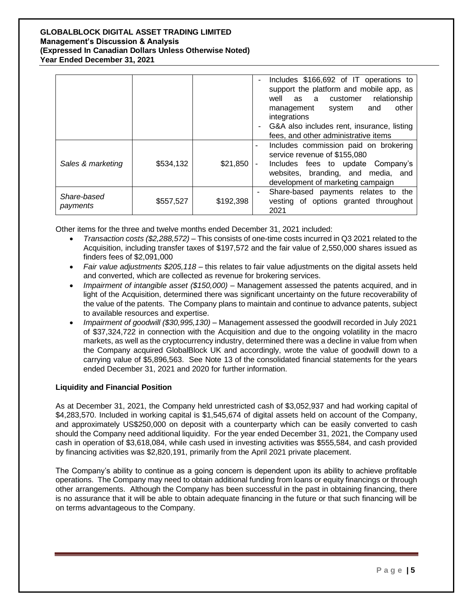|                         |           |           | Includes \$166,692 of IT operations to<br>support the platform and mobile app, as<br>relationship<br>as a customer<br>well<br>other<br>and<br>system<br>management<br>integrations<br>G&A also includes rent, insurance, listing<br>fees, and other administrative items |
|-------------------------|-----------|-----------|--------------------------------------------------------------------------------------------------------------------------------------------------------------------------------------------------------------------------------------------------------------------------|
| Sales & marketing       | \$534,132 | \$21,850  | Includes commission paid on brokering<br>۰<br>service revenue of \$155,080<br>Includes fees to update Company's<br>websites, branding, and media, and<br>development of marketing campaign                                                                               |
| Share-based<br>payments | \$557,527 | \$192,398 | Share-based payments relates to the<br>vesting of options granted throughout<br>2021                                                                                                                                                                                     |

Other items for the three and twelve months ended December 31, 2021 included:

- *Transaction costs (\$2,288,572)* This consists of one-time costs incurred in Q3 2021 related to the Acquisition, including transfer taxes of \$197,572 and the fair value of 2,550,000 shares issued as finders fees of \$2,091,000
- *Fair value adjustments \$205,118* this relates to fair value adjustments on the digital assets held and converted, which are collected as revenue for brokering services.
- *Impairment of intangible asset (\$150,000)* Management assessed the patents acquired, and in light of the Acquisition, determined there was significant uncertainty on the future recoverability of the value of the patents. The Company plans to maintain and continue to advance patents, subject to available resources and expertise.
- *Impairment of goodwill (\$30,995,130)* Management assessed the goodwill recorded in July 2021 of \$37,324,722 in connection with the Acquisition and due to the ongoing volatility in the macro markets, as well as the cryptocurrency industry, determined there was a decline in value from when the Company acquired GlobalBlock UK and accordingly, wrote the value of goodwill down to a carrying value of \$5,896,563. See Note 13 of the consolidated financial statements for the years ended December 31, 2021 and 2020 for further information.

# **Liquidity and Financial Position**

As at December 31, 2021, the Company held unrestricted cash of \$3,052,937 and had working capital of \$4,283,570. Included in working capital is \$1,545,674 of digital assets held on account of the Company, and approximately US\$250,000 on deposit with a counterparty which can be easily converted to cash should the Company need additional liquidity. For the year ended December 31, 2021, the Company used cash in operation of \$3,618,084, while cash used in investing activities was \$555,584, and cash provided by financing activities was \$2,820,191, primarily from the April 2021 private placement.

The Company's ability to continue as a going concern is dependent upon its ability to achieve profitable operations. The Company may need to obtain additional funding from loans or equity financings or through other arrangements. Although the Company has been successful in the past in obtaining financing, there is no assurance that it will be able to obtain adequate financing in the future or that such financing will be on terms advantageous to the Company.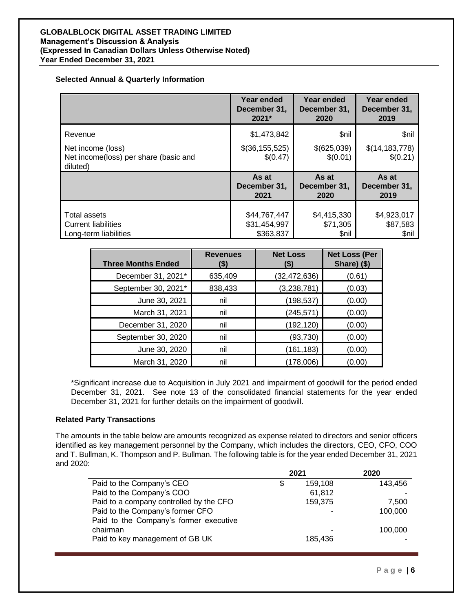### **Selected Annual & Quarterly Information**

|                                                                        | Year ended                   | <b>Year ended</b>       | Year ended                   |
|------------------------------------------------------------------------|------------------------------|-------------------------|------------------------------|
|                                                                        | December 31,                 | December 31,            | December 31,                 |
|                                                                        | 2021*                        | 2020                    | 2019                         |
| Revenue                                                                | \$1,473,842                  | \$nil                   | \$nil                        |
| Net income (loss)<br>Net income(loss) per share (basic and<br>diluted) | \$(36, 155, 525)<br>\$(0.47) | \$(625,039)<br>\$(0.01) | \$(14, 183, 778)<br>\$(0.21) |
|                                                                        | As at                        | As at                   | As at                        |
|                                                                        | December 31,                 | December 31,            | December 31,                 |
|                                                                        | 2021                         | 2020                    | 2019                         |
| Total assets                                                           | \$44,767,447                 | \$4,415,330             | \$4,923,017                  |
| <b>Current liabilities</b>                                             | \$31,454,997                 | \$71,305                | \$87,583                     |
| Long-term liabilities                                                  | \$363,837                    | \$nil                   | \$nil                        |

| <b>Three Months Ended</b> | <b>Revenues</b><br>(\$) | <b>Net Loss</b><br>(\$) | <b>Net Loss (Per</b><br>Share) (\$) |
|---------------------------|-------------------------|-------------------------|-------------------------------------|
| December 31, 2021*        | 635,409                 | (32, 472, 636)          | (0.61)                              |
| September 30, 2021*       | 838,433                 | (3,238,781)             | (0.03)                              |
| June 30, 2021             | nil                     | (198, 537)              | (0.00)                              |
| March 31, 2021            | nil                     | (245, 571)              | (0.00)                              |
| December 31, 2020         | nil                     | (192, 120)              | (0.00)                              |
| September 30, 2020        | nil                     | (93, 730)               | (0.00)                              |
| June 30, 2020             | nil                     | (161, 183)              | (0.00)                              |
| March 31, 2020            | nil                     | (178,006)               | (0.00)                              |

\*Significant increase due to Acquisition in July 2021 and impairment of goodwill for the period ended December 31, 2021. See note 13 of the consolidated financial statements for the year ended December 31, 2021 for further details on the impairment of goodwill.

# **Related Party Transactions**

The amounts in the table below are amounts recognized as expense related to directors and senior officers identified as key management personnel by the Company, which includes the directors, CEO, CFO, COO and T. Bullman, K. Thompson and P. Bullman. The following table is for the year ended December 31, 2021 and 2020:

|                                         | 2021 |         | 2020    |
|-----------------------------------------|------|---------|---------|
| Paid to the Company's CEO               | S    | 159.108 | 143.456 |
| Paid to the Company's COO               |      | 61,812  |         |
| Paid to a company controlled by the CFO |      | 159,375 | 7.500   |
| Paid to the Company's former CFO        |      |         | 100,000 |
| Paid to the Company's former executive  |      |         |         |
| chairman                                |      |         | 100,000 |
| Paid to key management of GB UK         |      | 185.436 |         |
|                                         |      |         |         |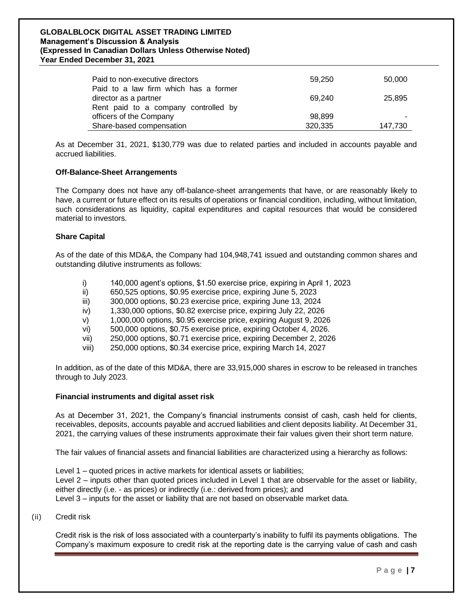| Paid to non-executive directors<br>Paid to a law firm which has a former | 59,250            | 50,000  |
|--------------------------------------------------------------------------|-------------------|---------|
| director as a partner<br>Rent paid to a company controlled by            | 69.240            | 25.895  |
| officers of the Company<br>Share-based compensation                      | 98.899<br>320,335 | 147,730 |

As at December 31, 2021, \$130,779 was due to related parties and included in accounts payable and accrued liabilities.

### **Off-Balance-Sheet Arrangements**

The Company does not have any off-balance-sheet arrangements that have, or are reasonably likely to have, a current or future effect on its results of operations or financial condition, including, without limitation, such considerations as liquidity, capital expenditures and capital resources that would be considered material to investors.

### **Share Capital**

As of the date of this MD&A, the Company had 104,948,741 issued and outstanding common shares and outstanding dilutive instruments as follows:

- i) 140,000 agent's options, \$1.50 exercise price, expiring in April 1, 2023
- ii) 650,525 options, \$0.95 exercise price, expiring June 5, 2023
- iii) 300,000 options, \$0.23 exercise price, expiring June 13, 2024
- iv) 1,330,000 options, \$0.82 exercise price, expiring July 22, 2026
- v) 1,000,000 options, \$0.95 exercise price, expiring August 9, 2026
- vi) 500,000 options, \$0.75 exercise price, expiring October 4, 2026.
- vii) 250,000 options, \$0.71 exercise price, expiring December 2, 2026
- viii) 250,000 options, \$0.34 exercise price, expiring March 14, 2027

In addition, as of the date of this MD&A, there are 33,915,000 shares in escrow to be released in tranches through to July 2023.

#### **Financial instruments and digital asset risk**

As at December 31, 2021, the Company's financial instruments consist of cash, cash held for clients, receivables, deposits, accounts payable and accrued liabilities and client deposits liability. At December 31, 2021, the carrying values of these instruments approximate their fair values given their short term nature.

The fair values of financial assets and financial liabilities are characterized using a hierarchy as follows:

Level 1 – quoted prices in active markets for identical assets or liabilities; Level 2 – inputs other than quoted prices included in Level 1 that are observable for the asset or liability, either directly (i.e. - as prices) or indirectly (i.e.: derived from prices); and Level 3 – inputs for the asset or liability that are not based on observable market data.

(ii) Credit risk

Credit risk is the risk of loss associated with a counterparty's inability to fulfil its payments obligations. The Company's maximum exposure to credit risk at the reporting date is the carrying value of cash and cash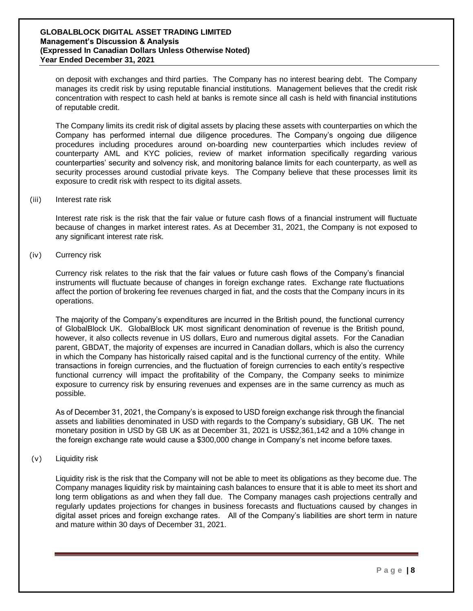on deposit with exchanges and third parties. The Company has no interest bearing debt. The Company manages its credit risk by using reputable financial institutions. Management believes that the credit risk concentration with respect to cash held at banks is remote since all cash is held with financial institutions of reputable credit.

The Company limits its credit risk of digital assets by placing these assets with counterparties on which the Company has performed internal due diligence procedures. The Company's ongoing due diligence procedures including procedures around on-boarding new counterparties which includes review of counterparty AML and KYC policies, review of market information specifically regarding various counterparties' security and solvency risk, and monitoring balance limits for each counterparty, as well as security processes around custodial private keys. The Company believe that these processes limit its exposure to credit risk with respect to its digital assets.

### (iii) Interest rate risk

Interest rate risk is the risk that the fair value or future cash flows of a financial instrument will fluctuate because of changes in market interest rates. As at December 31, 2021, the Company is not exposed to any significant interest rate risk.

(iv) Currency risk

Currency risk relates to the risk that the fair values or future cash flows of the Company's financial instruments will fluctuate because of changes in foreign exchange rates. Exchange rate fluctuations affect the portion of brokering fee revenues charged in fiat, and the costs that the Company incurs in its operations.

The majority of the Company's expenditures are incurred in the British pound, the functional currency of GlobalBlock UK. GlobalBlock UK most significant denomination of revenue is the British pound, however, it also collects revenue in US dollars, Euro and numerous digital assets. For the Canadian parent, GBDAT, the majority of expenses are incurred in Canadian dollars, which is also the currency in which the Company has historically raised capital and is the functional currency of the entity. While transactions in foreign currencies, and the fluctuation of foreign currencies to each entity's respective functional currency will impact the profitability of the Company, the Company seeks to minimize exposure to currency risk by ensuring revenues and expenses are in the same currency as much as possible.

As of December 31, 2021, the Company's is exposed to USD foreign exchange risk through the financial assets and liabilities denominated in USD with regards to the Company's subsidiary, GB UK. The net monetary position in USD by GB UK as at December 31, 2021 is US\$2,361,142 and a 10% change in the foreign exchange rate would cause a \$300,000 change in Company's net income before taxes.

(v) Liquidity risk

Liquidity risk is the risk that the Company will not be able to meet its obligations as they become due. The Company manages liquidity risk by maintaining cash balances to ensure that it is able to meet its short and long term obligations as and when they fall due. The Company manages cash projections centrally and regularly updates projections for changes in business forecasts and fluctuations caused by changes in digital asset prices and foreign exchange rates. All of the Company's liabilities are short term in nature and mature within 30 days of December 31, 2021.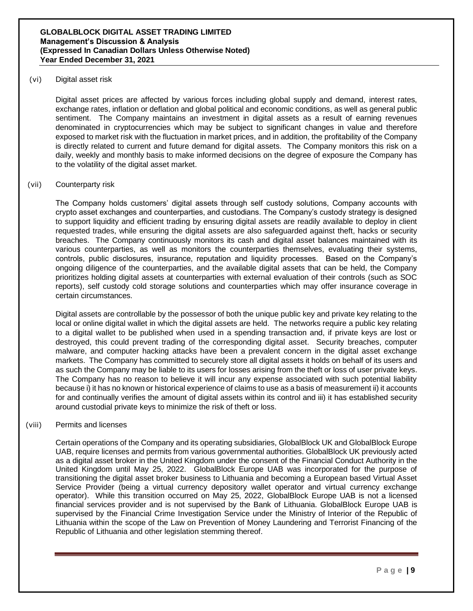### (vi) Digital asset risk

Digital asset prices are affected by various forces including global supply and demand, interest rates, exchange rates, inflation or deflation and global political and economic conditions, as well as general public sentiment. The Company maintains an investment in digital assets as a result of earning revenues denominated in cryptocurrencies which may be subject to significant changes in value and therefore exposed to market risk with the fluctuation in market prices, and in addition, the profitability of the Company is directly related to current and future demand for digital assets. The Company monitors this risk on a daily, weekly and monthly basis to make informed decisions on the degree of exposure the Company has to the volatility of the digital asset market.

### (vii) Counterparty risk

The Company holds customers' digital assets through self custody solutions, Company accounts with crypto asset exchanges and counterparties, and custodians. The Company's custody strategy is designed to support liquidity and efficient trading by ensuring digital assets are readily available to deploy in client requested trades, while ensuring the digital assets are also safeguarded against theft, hacks or security breaches. The Company continuously monitors its cash and digital asset balances maintained with its various counterparties, as well as monitors the counterparties themselves, evaluating their systems, controls, public disclosures, insurance, reputation and liquidity processes. Based on the Company's ongoing diligence of the counterparties, and the available digital assets that can be held, the Company prioritizes holding digital assets at counterparties with external evaluation of their controls (such as SOC reports), self custody cold storage solutions and counterparties which may offer insurance coverage in certain circumstances.

Digital assets are controllable by the possessor of both the unique public key and private key relating to the local or online digital wallet in which the digital assets are held. The networks require a public key relating to a digital wallet to be published when used in a spending transaction and, if private keys are lost or destroyed, this could prevent trading of the corresponding digital asset. Security breaches, computer malware, and computer hacking attacks have been a prevalent concern in the digital asset exchange markets. The Company has committed to securely store all digital assets it holds on behalf of its users and as such the Company may be liable to its users for losses arising from the theft or loss of user private keys. The Company has no reason to believe it will incur any expense associated with such potential liability because i) it has no known or historical experience of claims to use as a basis of measurement ii) it accounts for and continually verifies the amount of digital assets within its control and iii) it has established security around custodial private keys to minimize the risk of theft or loss.

### (viii) Permits and licenses

Certain operations of the Company and its operating subsidiaries, GlobalBlock UK and GlobalBlock Europe UAB, require licenses and permits from various governmental authorities. GlobalBlock UK previously acted as a digital asset broker in the United Kingdom under the consent of the Financial Conduct Authority in the United Kingdom until May 25, 2022. GlobalBlock Europe UAB was incorporated for the purpose of transitioning the digital asset broker business to Lithuania and becoming a European based Virtual Asset Service Provider (being a virtual currency depository wallet operator and virtual currency exchange operator). While this transition occurred on May 25, 2022, GlobalBlock Europe UAB is not a licensed financial services provider and is not supervised by the Bank of Lithuania. GlobalBlock Europe UAB is supervised by the Financial Crime Investigation Service under the Ministry of Interior of the Republic of Lithuania within the scope of the Law on Prevention of Money Laundering and Terrorist Financing of the Republic of Lithuania and other legislation stemming thereof.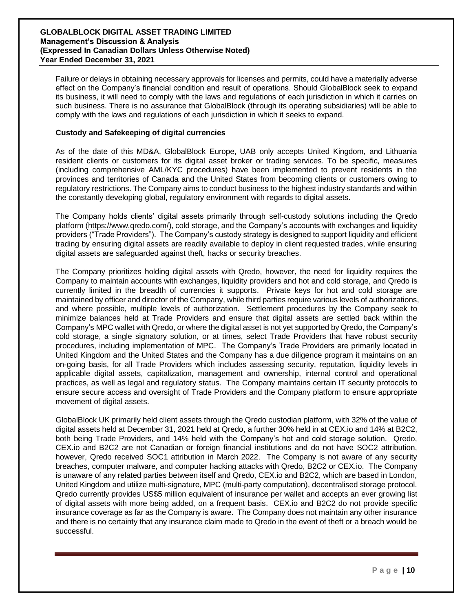Failure or delays in obtaining necessary approvals for licenses and permits, could have a materially adverse effect on the Company's financial condition and result of operations. Should GlobalBlock seek to expand its business, it will need to comply with the laws and regulations of each jurisdiction in which it carries on such business. There is no assurance that GlobalBlock (through its operating subsidiaries) will be able to comply with the laws and regulations of each jurisdiction in which it seeks to expand.

### **Custody and Safekeeping of digital currencies**

As of the date of this MD&A, GlobalBlock Europe, UAB only accepts United Kingdom, and Lithuania resident clients or customers for its digital asset broker or trading services. To be specific, measures (including comprehensive AML/KYC procedures) have been implemented to prevent residents in the provinces and territories of Canada and the United States from becoming clients or customers owing to regulatory restrictions. The Company aims to conduct business to the highest industry standards and within the constantly developing global, regulatory environment with regards to digital assets.

The Company holds clients' digital assets primarily through self-custody solutions including the Qredo platform (https://www.gredo.com/), cold storage, and the Company's accounts with exchanges and liquidity providers ("Trade Providers"). The Company's custody strategy is designed to support liquidity and efficient trading by ensuring digital assets are readily available to deploy in client requested trades, while ensuring digital assets are safeguarded against theft, hacks or security breaches.

The Company prioritizes holding digital assets with Qredo, however, the need for liquidity requires the Company to maintain accounts with exchanges, liquidity providers and hot and cold storage, and Qredo is currently limited in the breadth of currencies it supports. Private keys for hot and cold storage are maintained by officer and director of the Company, while third parties require various levels of authorizations, and where possible, multiple levels of authorization. Settlement procedures by the Company seek to minimize balances held at Trade Providers and ensure that digital assets are settled back within the Company's MPC wallet with Qredo, or where the digital asset is not yet supported by Qredo, the Company's cold storage, a single signatory solution, or at times, select Trade Providers that have robust security procedures, including implementation of MPC. The Company's Trade Providers are primarily located in United Kingdom and the United States and the Company has a due diligence program it maintains on an on-going basis, for all Trade Providers which includes assessing security, reputation, liquidity levels in applicable digital assets, capitalization, management and ownership, internal control and operational practices, as well as legal and regulatory status. The Company maintains certain IT security protocols to ensure secure access and oversight of Trade Providers and the Company platform to ensure appropriate movement of digital assets.

GlobalBlock UK primarily held client assets through the Qredo custodian platform, with 32% of the value of digital assets held at December 31, 2021 held at Qredo, a further 30% held in at CEX.io and 14% at B2C2, both being Trade Providers, and 14% held with the Company's hot and cold storage solution. Qredo, CEX.io and B2C2 are not Canadian or foreign financial institutions and do not have SOC2 attribution, however, Qredo received SOC1 attribution in March 2022. The Company is not aware of any security breaches, computer malware, and computer hacking attacks with Qredo, B2C2 or CEX.io. The Company is unaware of any related parties between itself and Qredo, CEX.io and B2C2, which are based in London, United Kingdom and utilize multi-signature, MPC (multi-party computation), decentralised storage protocol. Qredo currently provides US\$5 million equivalent of insurance per wallet and accepts an ever growing list of digital assets with more being added, on a frequent basis. CEX.io and B2C2 do not provide specific insurance coverage as far as the Company is aware. The Company does not maintain any other insurance and there is no certainty that any insurance claim made to Qredo in the event of theft or a breach would be successful.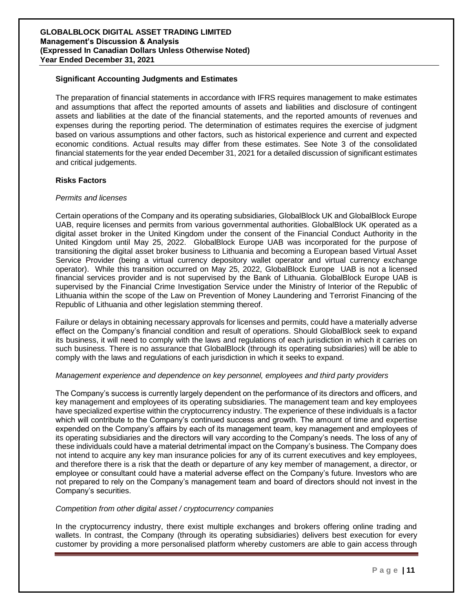### **Significant Accounting Judgments and Estimates**

The preparation of financial statements in accordance with IFRS requires management to make estimates and assumptions that affect the reported amounts of assets and liabilities and disclosure of contingent assets and liabilities at the date of the financial statements, and the reported amounts of revenues and expenses during the reporting period. The determination of estimates requires the exercise of judgment based on various assumptions and other factors, such as historical experience and current and expected economic conditions. Actual results may differ from these estimates. See Note 3 of the consolidated financial statements for the year ended December 31, 2021 for a detailed discussion of significant estimates and critical judgements.

### **Risks Factors**

### *Permits and licenses*

Certain operations of the Company and its operating subsidiaries, GlobalBlock UK and GlobalBlock Europe UAB, require licenses and permits from various governmental authorities. GlobalBlock UK operated as a digital asset broker in the United Kingdom under the consent of the Financial Conduct Authority in the United Kingdom until May 25, 2022. GlobalBlock Europe UAB was incorporated for the purpose of transitioning the digital asset broker business to Lithuania and becoming a European based Virtual Asset Service Provider (being a virtual currency depository wallet operator and virtual currency exchange operator). While this transition occurred on May 25, 2022, GlobalBlock Europe UAB is not a licensed financial services provider and is not supervised by the Bank of Lithuania. GlobalBlock Europe UAB is supervised by the Financial Crime Investigation Service under the Ministry of Interior of the Republic of Lithuania within the scope of the Law on Prevention of Money Laundering and Terrorist Financing of the Republic of Lithuania and other legislation stemming thereof.

Failure or delays in obtaining necessary approvals for licenses and permits, could have a materially adverse effect on the Company's financial condition and result of operations. Should GlobalBlock seek to expand its business, it will need to comply with the laws and regulations of each jurisdiction in which it carries on such business. There is no assurance that GlobalBlock (through its operating subsidiaries) will be able to comply with the laws and regulations of each jurisdiction in which it seeks to expand.

### *Management experience and dependence on key personnel, employees and third party providers*

The Company's success is currently largely dependent on the performance of its directors and officers, and key management and employees of its operating subsidiaries. The management team and key employees have specialized expertise within the cryptocurrency industry. The experience of these individuals is a factor which will contribute to the Company's continued success and growth. The amount of time and expertise expended on the Company's affairs by each of its management team, key management and employees of its operating subsidiaries and the directors will vary according to the Company's needs. The loss of any of these individuals could have a material detrimental impact on the Company's business. The Company does not intend to acquire any key man insurance policies for any of its current executives and key employees, and therefore there is a risk that the death or departure of any key member of management, a director, or employee or consultant could have a material adverse effect on the Company's future. Investors who are not prepared to rely on the Company's management team and board of directors should not invest in the Company's securities.

### *Competition from other digital asset / cryptocurrency companies*

In the cryptocurrency industry, there exist multiple exchanges and brokers offering online trading and wallets. In contrast, the Company (through its operating subsidiaries) delivers best execution for every customer by providing a more personalised platform whereby customers are able to gain access through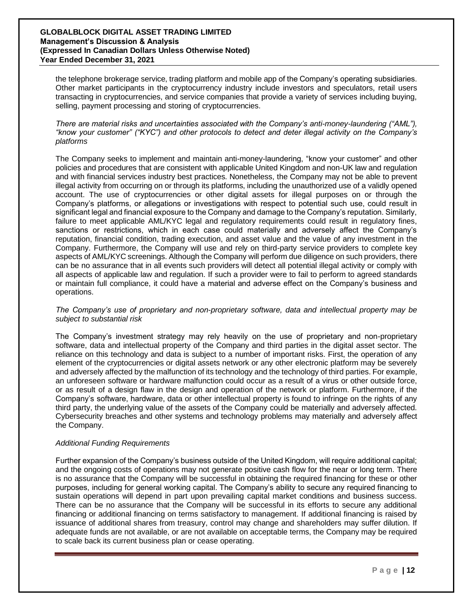the telephone brokerage service, trading platform and mobile app of the Company's operating subsidiaries. Other market participants in the cryptocurrency industry include investors and speculators, retail users transacting in cryptocurrencies, and service companies that provide a variety of services including buying, selling, payment processing and storing of cryptocurrencies.

*There are material risks and uncertainties associated with the Company's anti-money-laundering ("AML"), "know your customer" ("KYC") and other protocols to detect and deter illegal activity on the Company's platforms*

The Company seeks to implement and maintain anti-money-laundering, "know your customer" and other policies and procedures that are consistent with applicable United Kingdom and non-UK law and regulation and with financial services industry best practices. Nonetheless, the Company may not be able to prevent illegal activity from occurring on or through its platforms, including the unauthorized use of a validly opened account. The use of cryptocurrencies or other digital assets for illegal purposes on or through the Company's platforms, or allegations or investigations with respect to potential such use, could result in significant legal and financial exposure to the Company and damage to the Company's reputation. Similarly, failure to meet applicable AML/KYC legal and regulatory requirements could result in regulatory fines, sanctions or restrictions, which in each case could materially and adversely affect the Company's reputation, financial condition, trading execution, and asset value and the value of any investment in the Company. Furthermore, the Company will use and rely on third-party service providers to complete key aspects of AML/KYC screenings. Although the Company will perform due diligence on such providers, there can be no assurance that in all events such providers will detect all potential illegal activity or comply with all aspects of applicable law and regulation. If such a provider were to fail to perform to agreed standards or maintain full compliance, it could have a material and adverse effect on the Company's business and operations.

*The Company's use of proprietary and non-proprietary software, data and intellectual property may be subject to substantial risk*

The Company's investment strategy may rely heavily on the use of proprietary and non-proprietary software, data and intellectual property of the Company and third parties in the digital asset sector. The reliance on this technology and data is subject to a number of important risks. First, the operation of any element of the cryptocurrencies or digital assets network or any other electronic platform may be severely and adversely affected by the malfunction of its technology and the technology of third parties. For example, an unforeseen software or hardware malfunction could occur as a result of a virus or other outside force, or as result of a design flaw in the design and operation of the network or platform. Furthermore, if the Company's software, hardware, data or other intellectual property is found to infringe on the rights of any third party, the underlying value of the assets of the Company could be materially and adversely affected. Cybersecurity breaches and other systems and technology problems may materially and adversely affect the Company.

### *Additional Funding Requirements*

Further expansion of the Company's business outside of the United Kingdom, will require additional capital; and the ongoing costs of operations may not generate positive cash flow for the near or long term. There is no assurance that the Company will be successful in obtaining the required financing for these or other purposes, including for general working capital. The Company's ability to secure any required financing to sustain operations will depend in part upon prevailing capital market conditions and business success. There can be no assurance that the Company will be successful in its efforts to secure any additional financing or additional financing on terms satisfactory to management. If additional financing is raised by issuance of additional shares from treasury, control may change and shareholders may suffer dilution. If adequate funds are not available, or are not available on acceptable terms, the Company may be required to scale back its current business plan or cease operating.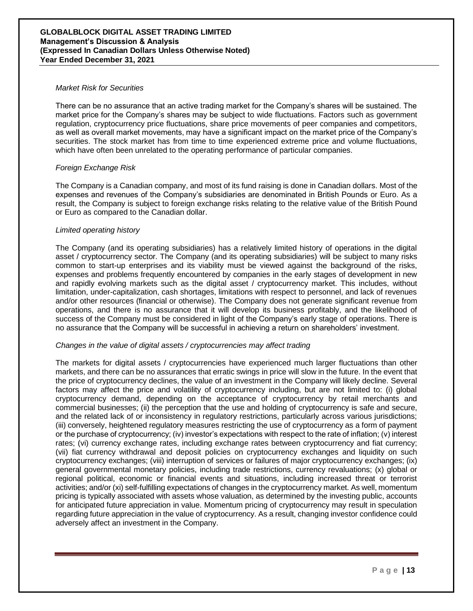### *Market Risk for Securities*

There can be no assurance that an active trading market for the Company's shares will be sustained. The market price for the Company's shares may be subject to wide fluctuations. Factors such as government regulation, cryptocurrency price fluctuations, share price movements of peer companies and competitors, as well as overall market movements, may have a significant impact on the market price of the Company's securities. The stock market has from time to time experienced extreme price and volume fluctuations, which have often been unrelated to the operating performance of particular companies.

### *Foreign Exchange Risk*

The Company is a Canadian company, and most of its fund raising is done in Canadian dollars. Most of the expenses and revenues of the Company's subsidiaries are denominated in British Pounds or Euro. As a result, the Company is subject to foreign exchange risks relating to the relative value of the British Pound or Euro as compared to the Canadian dollar.

### *Limited operating history*

The Company (and its operating subsidiaries) has a relatively limited history of operations in the digital asset / cryptocurrency sector. The Company (and its operating subsidiaries) will be subject to many risks common to start-up enterprises and its viability must be viewed against the background of the risks, expenses and problems frequently encountered by companies in the early stages of development in new and rapidly evolving markets such as the digital asset / cryptocurrency market. This includes, without limitation, under-capitalization, cash shortages, limitations with respect to personnel, and lack of revenues and/or other resources (financial or otherwise). The Company does not generate significant revenue from operations, and there is no assurance that it will develop its business profitably, and the likelihood of success of the Company must be considered in light of the Company's early stage of operations. There is no assurance that the Company will be successful in achieving a return on shareholders' investment.

### *Changes in the value of digital assets / cryptocurrencies may affect trading*

The markets for digital assets / cryptocurrencies have experienced much larger fluctuations than other markets, and there can be no assurances that erratic swings in price will slow in the future. In the event that the price of cryptocurrency declines, the value of an investment in the Company will likely decline. Several factors may affect the price and volatility of cryptocurrency including, but are not limited to: (i) global cryptocurrency demand, depending on the acceptance of cryptocurrency by retail merchants and commercial businesses; (ii) the perception that the use and holding of cryptocurrency is safe and secure, and the related lack of or inconsistency in regulatory restrictions, particularly across various jurisdictions; (iii) conversely, heightened regulatory measures restricting the use of cryptocurrency as a form of payment or the purchase of cryptocurrency; (iv) investor's expectations with respect to the rate of inflation; (v) interest rates; (vi) currency exchange rates, including exchange rates between cryptocurrency and fiat currency; (vii) fiat currency withdrawal and deposit policies on cryptocurrency exchanges and liquidity on such cryptocurrency exchanges; (viii) interruption of services or failures of major cryptocurrency exchanges; (ix) general governmental monetary policies, including trade restrictions, currency revaluations; (x) global or regional political, economic or financial events and situations, including increased threat or terrorist activities; and/or (xi) self-fulfilling expectations of changes in the cryptocurrency market. As well, momentum pricing is typically associated with assets whose valuation, as determined by the investing public, accounts for anticipated future appreciation in value. Momentum pricing of cryptocurrency may result in speculation regarding future appreciation in the value of cryptocurrency. As a result, changing investor confidence could adversely affect an investment in the Company.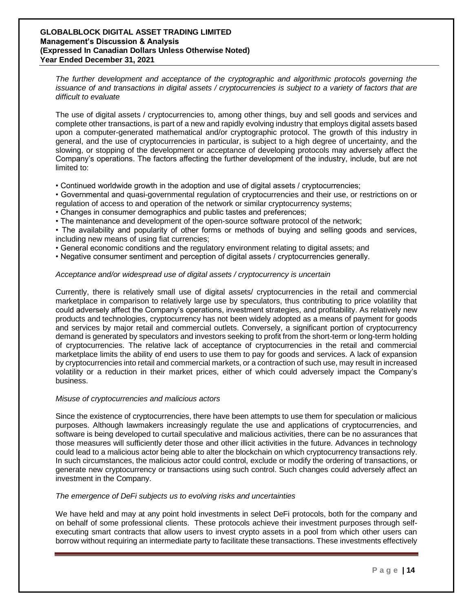*The further development and acceptance of the cryptographic and algorithmic protocols governing the issuance of and transactions in digital assets / cryptocurrencies is subject to a variety of factors that are difficult to evaluate*

The use of digital assets / cryptocurrencies to, among other things, buy and sell goods and services and complete other transactions, is part of a new and rapidly evolving industry that employs digital assets based upon a computer-generated mathematical and/or cryptographic protocol. The growth of this industry in general, and the use of cryptocurrencies in particular, is subject to a high degree of uncertainty, and the slowing, or stopping of the development or acceptance of developing protocols may adversely affect the Company's operations. The factors affecting the further development of the industry, include, but are not limited to:

- Continued worldwide growth in the adoption and use of digital assets / cryptocurrencies;
- Governmental and quasi-governmental regulation of cryptocurrencies and their use, or restrictions on or regulation of access to and operation of the network or similar cryptocurrency systems;
- Changes in consumer demographics and public tastes and preferences;
- The maintenance and development of the open-source software protocol of the network;
- The availability and popularity of other forms or methods of buying and selling goods and services, including new means of using fiat currencies;
- General economic conditions and the regulatory environment relating to digital assets; and
- Negative consumer sentiment and perception of digital assets / cryptocurrencies generally.

### *Acceptance and/or widespread use of digital assets / cryptocurrency is uncertain*

Currently, there is relatively small use of digital assets/ cryptocurrencies in the retail and commercial marketplace in comparison to relatively large use by speculators, thus contributing to price volatility that could adversely affect the Company's operations, investment strategies, and profitability. As relatively new products and technologies, cryptocurrency has not been widely adopted as a means of payment for goods and services by major retail and commercial outlets. Conversely, a significant portion of cryptocurrency demand is generated by speculators and investors seeking to profit from the short-term or long-term holding of cryptocurrencies. The relative lack of acceptance of cryptocurrencies in the retail and commercial marketplace limits the ability of end users to use them to pay for goods and services. A lack of expansion by cryptocurrencies into retail and commercial markets, or a contraction of such use, may result in increased volatility or a reduction in their market prices, either of which could adversely impact the Company's business.

### *Misuse of cryptocurrencies and malicious actors*

Since the existence of cryptocurrencies, there have been attempts to use them for speculation or malicious purposes. Although lawmakers increasingly regulate the use and applications of cryptocurrencies, and software is being developed to curtail speculative and malicious activities, there can be no assurances that those measures will sufficiently deter those and other illicit activities in the future. Advances in technology could lead to a malicious actor being able to alter the blockchain on which cryptocurrency transactions rely. In such circumstances, the malicious actor could control, exclude or modify the ordering of transactions, or generate new cryptocurrency or transactions using such control. Such changes could adversely affect an investment in the Company.

#### *The emergence of DeFi subjects us to evolving risks and uncertainties*

We have held and may at any point hold investments in select DeFi protocols, both for the company and on behalf of some professional clients. These protocols achieve their investment purposes through selfexecuting smart contracts that allow users to invest crypto assets in a pool from which other users can borrow without requiring an intermediate party to facilitate these transactions. These investments effectively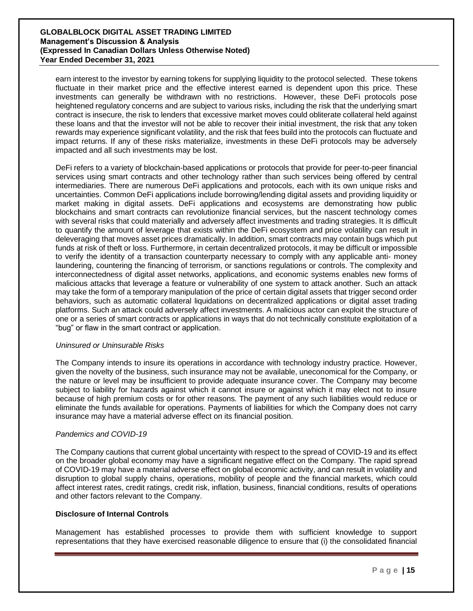earn interest to the investor by earning tokens for supplying liquidity to the protocol selected. These tokens fluctuate in their market price and the effective interest earned is dependent upon this price. These investments can generally be withdrawn with no restrictions. However, these DeFi protocols pose heightened regulatory concerns and are subject to various risks, including the risk that the underlying smart contract is insecure, the risk to lenders that excessive market moves could obliterate collateral held against these loans and that the investor will not be able to recover their initial investment, the risk that any token rewards may experience significant volatility, and the risk that fees build into the protocols can fluctuate and impact returns. If any of these risks materialize, investments in these DeFi protocols may be adversely impacted and all such investments may be lost.

DeFi refers to a variety of blockchain-based applications or protocols that provide for peer-to-peer financial services using smart contracts and other technology rather than such services being offered by central intermediaries. There are numerous DeFi applications and protocols, each with its own unique risks and uncertainties. Common DeFi applications include borrowing/lending digital assets and providing liquidity or market making in digital assets. DeFi applications and ecosystems are demonstrating how public blockchains and smart contracts can revolutionize financial services, but the nascent technology comes with several risks that could materially and adversely affect investments and trading strategies. It is difficult to quantify the amount of leverage that exists within the DeFi ecosystem and price volatility can result in deleveraging that moves asset prices dramatically. In addition, smart contracts may contain bugs which put funds at risk of theft or loss. Furthermore, in certain decentralized protocols, it may be difficult or impossible to verify the identity of a transaction counterparty necessary to comply with any applicable anti- money laundering, countering the financing of terrorism, or sanctions regulations or controls. The complexity and interconnectedness of digital asset networks, applications, and economic systems enables new forms of malicious attacks that leverage a feature or vulnerability of one system to attack another. Such an attack may take the form of a temporary manipulation of the price of certain digital assets that trigger second order behaviors, such as automatic collateral liquidations on decentralized applications or digital asset trading platforms. Such an attack could adversely affect investments. A malicious actor can exploit the structure of one or a series of smart contracts or applications in ways that do not technically constitute exploitation of a "bug" or flaw in the smart contract or application.

### *Uninsured or Uninsurable Risks*

The Company intends to insure its operations in accordance with technology industry practice. However, given the novelty of the business, such insurance may not be available, uneconomical for the Company, or the nature or level may be insufficient to provide adequate insurance cover. The Company may become subject to liability for hazards against which it cannot insure or against which it may elect not to insure because of high premium costs or for other reasons. The payment of any such liabilities would reduce or eliminate the funds available for operations. Payments of liabilities for which the Company does not carry insurance may have a material adverse effect on its financial position.

# *Pandemics and COVID-19*

The Company cautions that current global uncertainty with respect to the spread of COVID-19 and its effect on the broader global economy may have a significant negative effect on the Company. The rapid spread of COVID-19 may have a material adverse effect on global economic activity, and can result in volatility and disruption to global supply chains, operations, mobility of people and the financial markets, which could affect interest rates, credit ratings, credit risk, inflation, business, financial conditions, results of operations and other factors relevant to the Company.

# **Disclosure of Internal Controls**

Management has established processes to provide them with sufficient knowledge to support representations that they have exercised reasonable diligence to ensure that (i) the consolidated financial